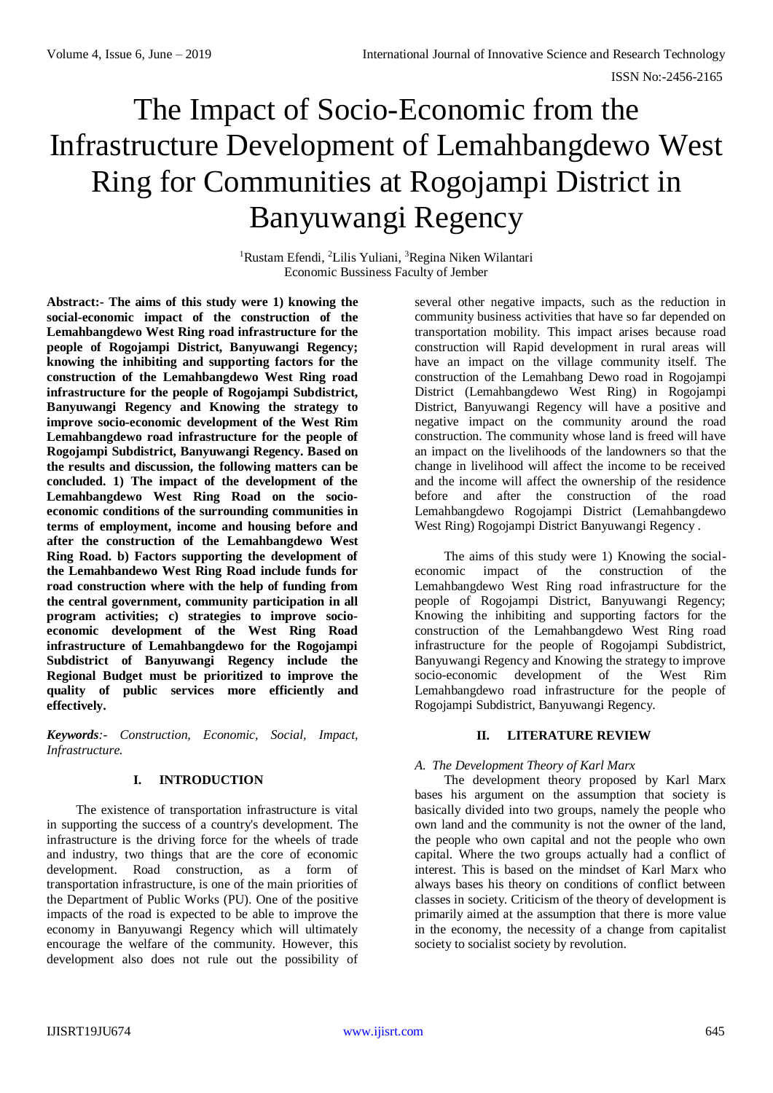# The Impact of Socio-Economic from the Infrastructure Development of Lemahbangdewo West Ring for Communities at Rogojampi District in Banyuwangi Regency

<sup>1</sup>Rustam Efendi, <sup>2</sup>Lilis Yuliani, <sup>3</sup>Regina Niken Wilantari Economic Bussiness Faculty of Jember

**Abstract:- The aims of this study were 1) knowing the social-economic impact of the construction of the Lemahbangdewo West Ring road infrastructure for the people of Rogojampi District, Banyuwangi Regency; knowing the inhibiting and supporting factors for the construction of the Lemahbangdewo West Ring road infrastructure for the people of Rogojampi Subdistrict, Banyuwangi Regency and Knowing the strategy to improve socio-economic development of the West Rim Lemahbangdewo road infrastructure for the people of Rogojampi Subdistrict, Banyuwangi Regency. Based on the results and discussion, the following matters can be concluded. 1) The impact of the development of the Lemahbangdewo West Ring Road on the socioeconomic conditions of the surrounding communities in terms of employment, income and housing before and after the construction of the Lemahbangdewo West Ring Road. b) Factors supporting the development of the Lemahbandewo West Ring Road include funds for road construction where with the help of funding from the central government, community participation in all program activities; c) strategies to improve socioeconomic development of the West Ring Road infrastructure of Lemahbangdewo for the Rogojampi Subdistrict of Banyuwangi Regency include the Regional Budget must be prioritized to improve the quality of public services more efficiently and effectively.**

*Keywords:- Construction, Economic, Social, Impact, Infrastructure.*

# **I. INTRODUCTION**

The existence of transportation infrastructure is vital in supporting the success of a country's development. The infrastructure is the driving force for the wheels of trade and industry, two things that are the core of economic development. Road construction, as a form of transportation infrastructure, is one of the main priorities of the Department of Public Works (PU). One of the positive impacts of the road is expected to be able to improve the economy in Banyuwangi Regency which will ultimately encourage the welfare of the community. However, this development also does not rule out the possibility of

several other negative impacts, such as the reduction in community business activities that have so far depended on transportation mobility. This impact arises because road construction will Rapid development in rural areas will have an impact on the village community itself. The construction of the Lemahbang Dewo road in Rogojampi District (Lemahbangdewo West Ring) in Rogojampi District, Banyuwangi Regency will have a positive and negative impact on the community around the road construction. The community whose land is freed will have an impact on the livelihoods of the landowners so that the change in livelihood will affect the income to be received and the income will affect the ownership of the residence before and after the construction of the road Lemahbangdewo Rogojampi District (Lemahbangdewo West Ring) Rogojampi District Banyuwangi Regency .

The aims of this study were 1) Knowing the socialeconomic impact of the construction of the Lemahbangdewo West Ring road infrastructure for the people of Rogojampi District, Banyuwangi Regency; Knowing the inhibiting and supporting factors for the construction of the Lemahbangdewo West Ring road infrastructure for the people of Rogojampi Subdistrict, Banyuwangi Regency and Knowing the strategy to improve socio-economic development of the West Rim Lemahbangdewo road infrastructure for the people of Rogojampi Subdistrict, Banyuwangi Regency.

# **II. LITERATURE REVIEW**

# *A. The Development Theory of Karl Marx*

The development theory proposed by Karl Marx bases his argument on the assumption that society is basically divided into two groups, namely the people who own land and the community is not the owner of the land, the people who own capital and not the people who own capital. Where the two groups actually had a conflict of interest. This is based on the mindset of Karl Marx who always bases his theory on conditions of conflict between classes in society. Criticism of the theory of development is primarily aimed at the assumption that there is more value in the economy, the necessity of a change from capitalist society to socialist society by revolution.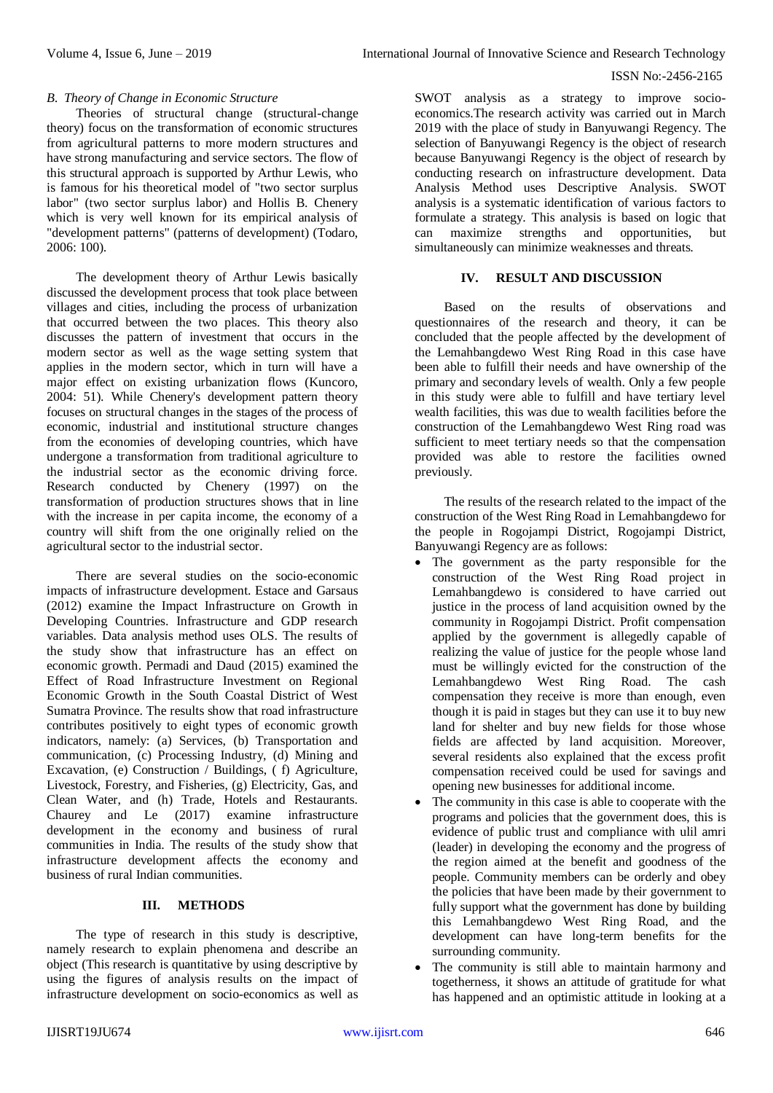## ISSN No:-2456-2165

## *B. Theory of Change in Economic Structure*

Theories of structural change (structural-change theory) focus on the transformation of economic structures from agricultural patterns to more modern structures and have strong manufacturing and service sectors. The flow of this structural approach is supported by Arthur Lewis, who is famous for his theoretical model of "two sector surplus labor" (two sector surplus labor) and Hollis B. Chenery which is very well known for its empirical analysis of "development patterns" (patterns of development) (Todaro, 2006: 100).

The development theory of Arthur Lewis basically discussed the development process that took place between villages and cities, including the process of urbanization that occurred between the two places. This theory also discusses the pattern of investment that occurs in the modern sector as well as the wage setting system that applies in the modern sector, which in turn will have a major effect on existing urbanization flows (Kuncoro, 2004: 51). While Chenery's development pattern theory focuses on structural changes in the stages of the process of economic, industrial and institutional structure changes from the economies of developing countries, which have undergone a transformation from traditional agriculture to the industrial sector as the economic driving force. Research conducted by Chenery (1997) on the transformation of production structures shows that in line with the increase in per capita income, the economy of a country will shift from the one originally relied on the agricultural sector to the industrial sector.

There are several studies on the socio-economic impacts of infrastructure development. Estace and Garsaus (2012) examine the Impact Infrastructure on Growth in Developing Countries. Infrastructure and GDP research variables. Data analysis method uses OLS. The results of the study show that infrastructure has an effect on economic growth. Permadi and Daud (2015) examined the Effect of Road Infrastructure Investment on Regional Economic Growth in the South Coastal District of West Sumatra Province. The results show that road infrastructure contributes positively to eight types of economic growth indicators, namely: (a) Services, (b) Transportation and communication, (c) Processing Industry, (d) Mining and Excavation, (e) Construction / Buildings, ( f) Agriculture, Livestock, Forestry, and Fisheries, (g) Electricity, Gas, and Clean Water, and (h) Trade, Hotels and Restaurants. Chaurey and Le (2017) examine infrastructure development in the economy and business of rural communities in India. The results of the study show that infrastructure development affects the economy and business of rural Indian communities.

# **III. METHODS**

The type of research in this study is descriptive, namely research to explain phenomena and describe an object (This research is quantitative by using descriptive by using the figures of analysis results on the impact of infrastructure development on socio-economics as well as SWOT analysis as a strategy to improve socioeconomics.The research activity was carried out in March 2019 with the place of study in Banyuwangi Regency. The selection of Banyuwangi Regency is the object of research because Banyuwangi Regency is the object of research by conducting research on infrastructure development. Data Analysis Method uses Descriptive Analysis. SWOT analysis is a systematic identification of various factors to formulate a strategy. This analysis is based on logic that can maximize strengths and opportunities, but simultaneously can minimize weaknesses and threats.

## **IV. RESULT AND DISCUSSION**

Based on the results of observations and questionnaires of the research and theory, it can be concluded that the people affected by the development of the Lemahbangdewo West Ring Road in this case have been able to fulfill their needs and have ownership of the primary and secondary levels of wealth. Only a few people in this study were able to fulfill and have tertiary level wealth facilities, this was due to wealth facilities before the construction of the Lemahbangdewo West Ring road was sufficient to meet tertiary needs so that the compensation provided was able to restore the facilities owned previously.

The results of the research related to the impact of the construction of the West Ring Road in Lemahbangdewo for the people in Rogojampi District, Rogojampi District, Banyuwangi Regency are as follows:

- The government as the party responsible for the construction of the West Ring Road project in Lemahbangdewo is considered to have carried out justice in the process of land acquisition owned by the community in Rogojampi District. Profit compensation applied by the government is allegedly capable of realizing the value of justice for the people whose land must be willingly evicted for the construction of the Lemahbangdewo West Ring Road. The cash compensation they receive is more than enough, even though it is paid in stages but they can use it to buy new land for shelter and buy new fields for those whose fields are affected by land acquisition. Moreover, several residents also explained that the excess profit compensation received could be used for savings and opening new businesses for additional income.
- The community in this case is able to cooperate with the programs and policies that the government does, this is evidence of public trust and compliance with ulil amri (leader) in developing the economy and the progress of the region aimed at the benefit and goodness of the people. Community members can be orderly and obey the policies that have been made by their government to fully support what the government has done by building this Lemahbangdewo West Ring Road, and the development can have long-term benefits for the surrounding community.
- The community is still able to maintain harmony and togetherness, it shows an attitude of gratitude for what has happened and an optimistic attitude in looking at a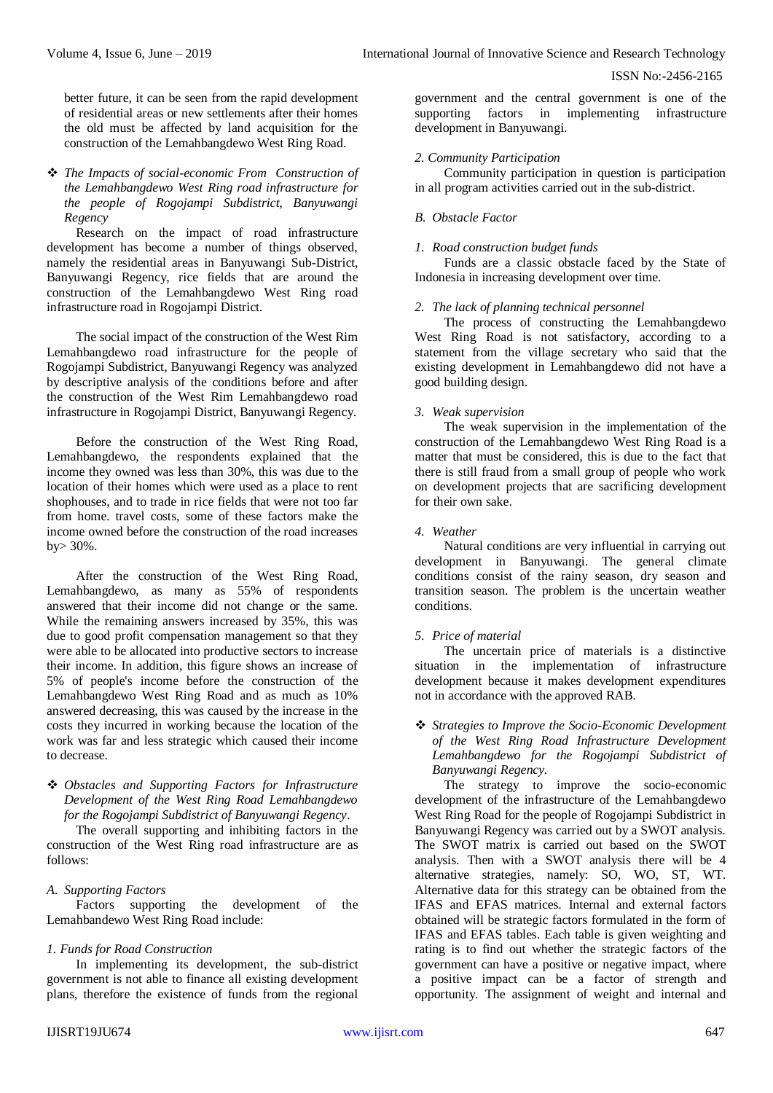## ISSN No:-2456-2165

better future, it can be seen from the rapid development of residential areas or new settlements after their homes the old must be affected by land acquisition for the construction of the Lemahbangdewo West Ring Road.

# *The Impacts of social-economic From Construction of the Lemahbangdewo West Ring road infrastructure for the people of Rogojampi Subdistrict, Banyuwangi Regency*

Research on the impact of road infrastructure development has become a number of things observed, namely the residential areas in Banyuwangi Sub-District, Banyuwangi Regency, rice fields that are around the construction of the Lemahbangdewo West Ring road infrastructure road in Rogojampi District.

The social impact of the construction of the West Rim Lemahbangdewo road infrastructure for the people of Rogojampi Subdistrict, Banyuwangi Regency was analyzed by descriptive analysis of the conditions before and after the construction of the West Rim Lemahbangdewo road infrastructure in Rogojampi District, Banyuwangi Regency.

Before the construction of the West Ring Road, Lemahbangdewo, the respondents explained that the income they owned was less than 30%, this was due to the location of their homes which were used as a place to rent shophouses, and to trade in rice fields that were not too far from home. travel costs, some of these factors make the income owned before the construction of the road increases by> 30%.

After the construction of the West Ring Road, Lemahbangdewo, as many as 55% of respondents answered that their income did not change or the same. While the remaining answers increased by 35%, this was due to good profit compensation management so that they were able to be allocated into productive sectors to increase their income. In addition, this figure shows an increase of 5% of people's income before the construction of the Lemahbangdewo West Ring Road and as much as 10% answered decreasing, this was caused by the increase in the costs they incurred in working because the location of the work was far and less strategic which caused their income to decrease.

 *Obstacles and Supporting Factors for Infrastructure Development of the West Ring Road Lemahbangdewo for the Rogojampi Subdistrict of Banyuwangi Regency.* 

The overall supporting and inhibiting factors in the construction of the West Ring road infrastructure are as follows:

# *A. Supporting Factors*

Factors supporting the development of the Lemahbandewo West Ring Road include:

## *1. Funds for Road Construction*

In implementing its development, the sub-district government is not able to finance all existing development plans, therefore the existence of funds from the regional government and the central government is one of the supporting factors in implementing infrastructure development in Banyuwangi.

# *2. Community Participation*

Community participation in question is participation in all program activities carried out in the sub-district.

## *B. Obstacle Factor*

## *1. Road construction budget funds*

Funds are a classic obstacle faced by the State of Indonesia in increasing development over time.

## *2. The lack of planning technical personnel*

The process of constructing the Lemahbangdewo West Ring Road is not satisfactory, according to a statement from the village secretary who said that the existing development in Lemahbangdewo did not have a good building design.

## *3. Weak supervision*

The weak supervision in the implementation of the construction of the Lemahbangdewo West Ring Road is a matter that must be considered, this is due to the fact that there is still fraud from a small group of people who work on development projects that are sacrificing development for their own sake.

## *4. Weather*

Natural conditions are very influential in carrying out development in Banyuwangi. The general climate conditions consist of the rainy season, dry season and transition season. The problem is the uncertain weather conditions.

# *5. Price of material*

The uncertain price of materials is a distinctive situation in the implementation of infrastructure development because it makes development expenditures not in accordance with the approved RAB.

# *Strategies to Improve the Socio-Economic Development of the West Ring Road Infrastructure Development Lemahbangdewo for the Rogojampi Subdistrict of Banyuwangi Regency.*

The strategy to improve the socio-economic development of the infrastructure of the Lemahbangdewo West Ring Road for the people of Rogojampi Subdistrict in Banyuwangi Regency was carried out by a SWOT analysis. The SWOT matrix is carried out based on the SWOT analysis. Then with a SWOT analysis there will be 4 alternative strategies, namely: SO, WO, ST, WT. Alternative data for this strategy can be obtained from the IFAS and EFAS matrices. Internal and external factors obtained will be strategic factors formulated in the form of IFAS and EFAS tables. Each table is given weighting and rating is to find out whether the strategic factors of the government can have a positive or negative impact, where a positive impact can be a factor of strength and opportunity. The assignment of weight and internal and